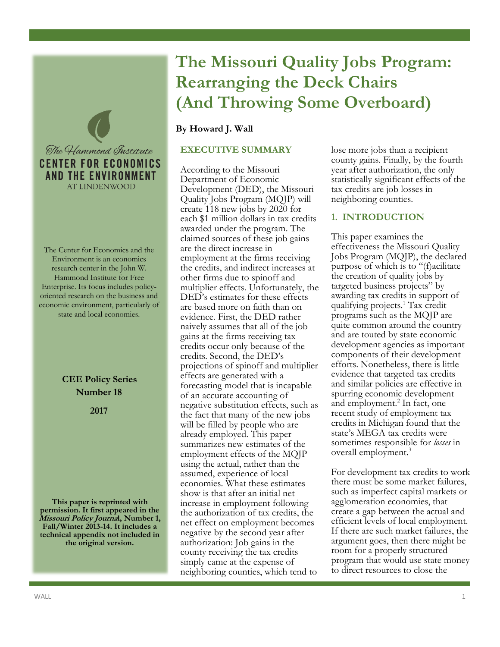

The Center for Economics and the Environment is an economics research center in the John W. Hammond Institute for Free Enterprise. Its focus includes policyoriented research on the business and economic environment, particularly of state and local economies.

> **CEE Policy Series Number 18**

> > **2017**

**This paper is reprinted with permission. It first appeared in the Missouri Policy Journal, Number 1, Fall/Winter 2013-14. It includes a technical appendix not included in the original version.**

# **The Missouri Quality Jobs Program: Rearranging the Deck Chairs (And Throwing Some Overboard)**

# **By Howard J. Wall**

## **EXECUTIVE SUMMARY**

According to the Missouri Department of Economic Development (DED), the Missouri Quality Jobs Program (MQJP) will create 118 new jobs by 2020 for each \$1 million dollars in tax credits awarded under the program. The claimed sources of these job gains are the direct increase in employment at the firms receiving the credits, and indirect increases at other firms due to spinoff and multiplier effects. Unfortunately, the DED's estimates for these effects are based more on faith than on evidence. First, the DED rather naively assumes that all of the job gains at the firms receiving tax credits occur only because of the credits. Second, the DED's projections of spinoff and multiplier effects are generated with a forecasting model that is incapable of an accurate accounting of negative substitution effects, such as the fact that many of the new jobs will be filled by people who are already employed. This paper summarizes new estimates of the employment effects of the MQJP using the actual, rather than the assumed, experience of local economies. What these estimates show is that after an initial net increase in employment following the authorization of tax credits, the net effect on employment becomes negative by the second year after authorization: Job gains in the county receiving the tax credits simply came at the expense of neighboring counties, which tend to

lose more jobs than a recipient county gains. Finally, by the fourth year after authorization, the only statistically significant effects of the tax credits are job losses in neighboring counties.

## **1. INTRODUCTION**

This paper examines the effectiveness the Missouri Quality Jobs Program (MQJP), the declared purpose of which is to "(f)acilitate the creation of quality jobs by targeted business projects" by awarding tax credits in support of qualifying projects.<sup>1</sup> Tax credit programs such as the MQJP are quite common around the country and are touted by state economic development agencies as important components of their development efforts. Nonetheless, there is little evidence that targeted tax credits and similar policies are effective in spurring economic development and employment.<sup>2</sup> In fact, one recent study of employment tax credits in Michigan found that the state's MEGA tax credits were sometimes responsible for *losses* in overall employment.<sup>3</sup>

For development tax credits to work there must be some market failures, such as imperfect capital markets or agglomeration economies, that create a gap between the actual and efficient levels of local employment. If there are such market failures, the argument goes, then there might be room for a properly structured program that would use state money to direct resources to close the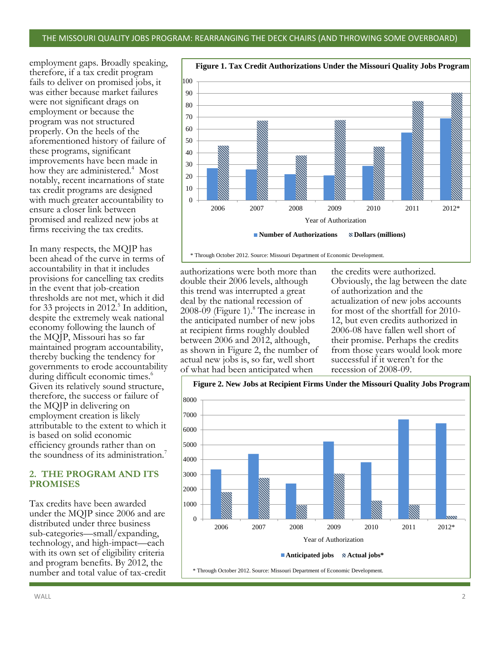employment gaps. Broadly speaking, therefore, if a tax credit program fails to deliver on promised jobs, it was either because market failures were not significant drags on employment or because the program was not structured properly. On the heels of the aforementioned history of failure of these programs, significant improvements have been made in how they are administered.<sup>4</sup> Most notably, recent incarnations of state tax credit programs are designed with much greater accountability to ensure a closer link between promised and realized new jobs at firms receiving the tax credits.

In many respects, the MQJP has been ahead of the curve in terms of accountability in that it includes provisions for cancelling tax credits in the event that job-creation thresholds are not met, which it did for 33 projects in 2012.<sup>5</sup> In addition, despite the extremely weak national economy following the launch of the MQJP, Missouri has so far maintained program accountability, thereby bucking the tendency for governments to erode accountability during difficult economic times.<sup>6</sup> Given its relatively sound structure, therefore, the success or failure of the MQJP in delivering on employment creation is likely attributable to the extent to which it is based on solid economic efficiency grounds rather than on the soundness of its administration.<sup>7</sup>

## **2. THE PROGRAM AND ITS PROMISES**

Tax credits have been awarded under the MQJP since 2006 and are distributed under three business sub-categories—small/expanding, technology, and high-impact—each with its own set of eligibility criteria and program benefits. By 2012, the number and total value of tax-credit



\* Through October 2012. Source: Missouri Department of Economic Development.

authorizations were both more than double their 2006 levels, although this trend was interrupted a great deal by the national recession of 2008-09 (Figure 1).<sup>8</sup> The increase in the anticipated number of new jobs at recipient firms roughly doubled between 2006 and 2012, although, as shown in Figure 2, the number of actual new jobs is, so far, well short of what had been anticipated when

the credits were authorized. Obviously, the lag between the date of authorization and the actualization of new jobs accounts for most of the shortfall for 2010- 12, but even credits authorized in 2006-08 have fallen well short of their promise. Perhaps the credits from those years would look more successful if it weren't for the recession of 2008-09.



**Figure 1. Tax Credit Authorizations Under the Missouri Quality Jobs Program**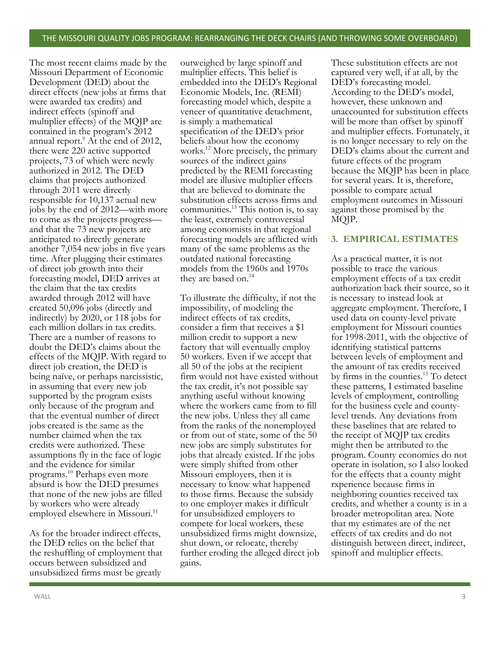The most recent claims made by the Missouri Department of Economic Development (DED) about the direct effects (new jobs at firms that were awarded tax credits) and indirect effects (spinoff and multiplier effects) of the MQJP are contained in the program's 2012 annual report.<sup>9</sup> At the end of 2012, there were 220 active supported projects, 73 of which were newly authorized in 2012. The DED claims that projects authorized through 2011 were directly responsible for 10,137 actual new jobs by the end of 2012—with more to come as the projects progress and that the 73 new projects are anticipated to directly generate another 7,054 new jobs in five years time. After plugging their estimates of direct job growth into their forecasting model, DED arrives at the claim that the tax credits awarded through 2012 will have created 50,096 jobs (directly and indirectly) by 2020, or 118 jobs for each million dollars in tax credits. There are a number of reasons to doubt the DED's claims about the effects of the MQJP. With regard to direct job creation, the DED is being naïve, or perhaps narcissistic, in assuming that every new job supported by the program exists only because of the program and that the eventual number of direct jobs created is the same as the number claimed when the tax credits were authorized. These assumptions fly in the face of logic and the evidence for similar programs.<sup>10</sup> Perhaps even more absurd is how the DED presumes that none of the new jobs are filled by workers who were already employed elsewhere in Missouri.<sup>11</sup>

As for the broader indirect effects, the DED relies on the belief that the reshuffling of employment that occurs between subsidized and unsubsidized firms must be greatly

outweighed by large spinoff and multiplier effects. This belief is embedded into the DED's Regional Economic Models, Inc. (REMI) forecasting model which, despite a veneer of quantitative detachment, is simply a mathematical specification of the DED's prior beliefs about how the economy works.<sup>12</sup> More precisely, the primary sources of the indirect gains predicted by the REMI forecasting model are illusive multiplier effects that are believed to dominate the substitution effects across firms and communities.<sup>13</sup> This notion is, to say the least, extremely controversial among economists in that regional forecasting models are afflicted with many of the same problems as the outdated national forecasting models from the 1960s and 1970s they are based on.<sup>14</sup>

To illustrate the difficulty, if not the impossibility, of modeling the indirect effects of tax credits, consider a firm that receives a \$1 million credit to support a new factory that will eventually employ 50 workers. Even if we accept that all 50 of the jobs at the recipient firm would not have existed without the tax credit, it's not possible say anything useful without knowing where the workers came from to fill the new jobs. Unless they all came from the ranks of the nonemployed or from out of state, some of the 50 new jobs are simply substitutes for jobs that already existed. If the jobs were simply shifted from other Missouri employers, then it is necessary to know what happened to those firms. Because the subsidy to one employer makes it difficult for unsubsidized employers to compete for local workers, these unsubsidized firms might downsize, shut down, or relocate, thereby further eroding the alleged direct job gains.

These substitution effects are not captured very well, if at all, by the DED's forecasting model. According to the DED's model, however, these unknown and unaccounted for substitution effects will be more than offset by spinoff and multiplier effects. Fortunately, it is no longer necessary to rely on the DED's claims about the current and future effects of the program because the MQJP has been in place for several years. It is, therefore, possible to compare actual employment outcomes in Missouri against those promised by the MQJP.

## **3. EMPIRICAL ESTIMATES**

As a practical matter, it is not possible to trace the various employment effects of a tax credit authorization back their source, so it is necessary to instead look at aggregate employment. Therefore, I used data on county-level private employment for Missouri counties for 1998-2011, with the objective of identifying statistical patterns between levels of employment and the amount of tax credits received by firms in the counties.<sup>15</sup> To detect these patterns, I estimated baseline levels of employment, controlling for the business cycle and countylevel trends. Any deviations from these baselines that are related to the receipt of MQJP tax credits might then be attributed to the program. County economies do not operate in isolation, so I also looked for the effects that a county might rxperience because firms in neighboring counties received tax credits, and whether a county is in a broader metropolitan area. Note that my estimates are of the net effects of tax credits and do not distinguish between direct, indirect, spinoff and multiplier effects.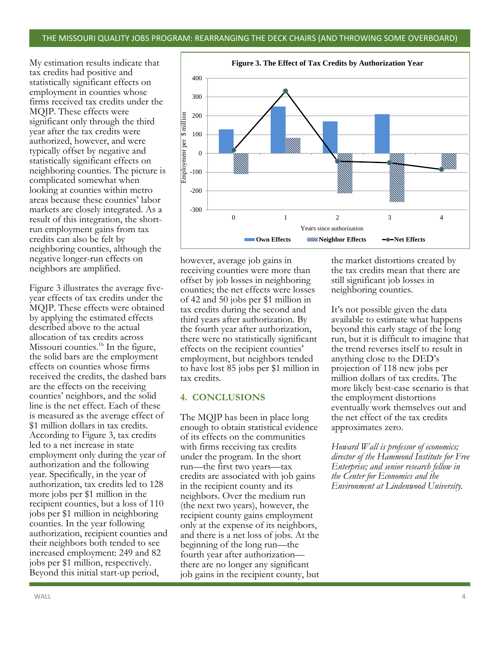#### THE MISSOURI QUALITY JOBS PROGRAM: REARRANGING THE DECK CHAIRS (AND THROWING SOME OVERBOARD)

My estimation results indicate that tax credits had positive and statistically significant effects on employment in counties whose firms received tax credits under the MQJP. These effects were significant only through the third year after the tax credits were authorized, however, and were typically offset by negative and statistically significant effects on neighboring counties. The picture is complicated somewhat when looking at counties within metro areas because these counties' labor markets are closely integrated. As a result of this integration, the shortrun employment gains from tax credits can also be felt by neighboring counties, although the negative longer-run effects on neighbors are amplified.

Figure 3 illustrates the average fiveyear effects of tax credits under the MQJP. These effects were obtained by applying the estimated effects described above to the actual allocation of tax credits across Missouri counties.<sup>16</sup> In the figure, the solid bars are the employment effects on counties whose firms received the credits, the dashed bars are the effects on the receiving counties' neighbors, and the solid line is the net effect. Each of these is measured as the average effect of \$1 million dollars in tax credits. According to Figure 3, tax credits led to a net increase in state employment only during the year of authorization and the following year. Specifically, in the year of authorization, tax credits led to 128 more jobs per \$1 million in the recipient counties, but a loss of 110 jobs per \$1 million in neighboring counties. In the year following authorization, recipient counties and their neighbors both tended to see increased employment: 249 and 82 jobs per \$1 million, respectively. Beyond this initial start-up period,



however, average job gains in receiving counties were more than offset by job losses in neighboring counties; the net effects were losses of 42 and 50 jobs per \$1 million in tax credits during the second and third years after authorization. By the fourth year after authorization, there were no statistically significant effects on the recipient counties' employment, but neighbors tended to have lost 85 jobs per \$1 million in tax credits.

#### **4. CONCLUSIONS**

The MQJP has been in place long enough to obtain statistical evidence of its effects on the communities with firms receiving tax credits under the program. In the short run—the first two years—tax credits are associated with job gains in the recipient county and its neighbors. Over the medium run (the next two years), however, the recipient county gains employment only at the expense of its neighbors, and there is a net loss of jobs. At the beginning of the long run—the fourth year after authorization there are no longer any significant job gains in the recipient county, but the market distortions created by the tax credits mean that there are still significant job losses in neighboring counties.

It's not possible given the data available to estimate what happens beyond this early stage of the long run, but it is difficult to imagine that the trend reverses itself to result in anything close to the DED's projection of 118 new jobs per million dollars of tax credits. The more likely best-case scenario is that the employment distortions eventually work themselves out and the net effect of the tax credits approximates zero.

*Howard Wall is professor of economics; director of the Hammond Institute for Free Enterprise; and senior research fellow in the Center for Economics and the Environment at Lindenwood University.*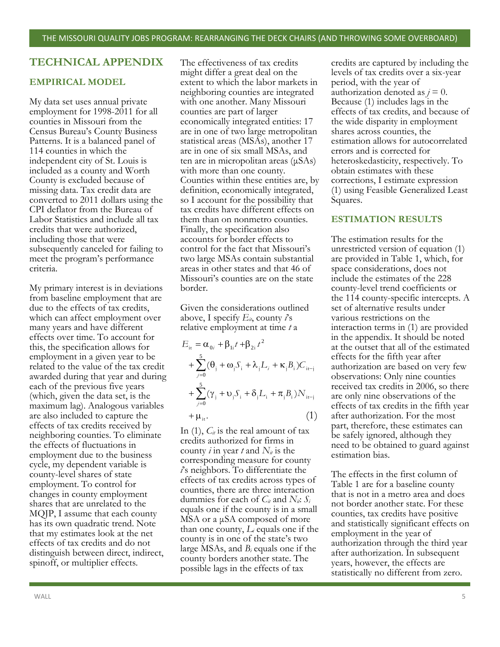## **TECHNICAL APPENDIX**

#### **EMPIRICAL MODEL**

My data set uses annual private employment for 1998-2011 for all counties in Missouri from the Census Bureau's County Business Patterns. It is a balanced panel of 114 counties in which the independent city of St. Louis is included as a county and Worth County is excluded because of missing data. Tax credit data are converted to 2011 dollars using the CPI deflator from the Bureau of Labor Statistics and include all tax credits that were authorized, including those that were subsequently canceled for failing to meet the program's performance criteria.

My primary interest is in deviations from baseline employment that are due to the effects of tax credits, which can affect employment over many years and have different effects over time. To account for this, the specification allows for employment in a given year to be related to the value of the tax credit awarded during that year and during each of the previous five years (which, given the data set, is the maximum lag). Analogous variables are also included to capture the effects of tax credits received by neighboring counties. To eliminate the effects of fluctuations in employment due to the business cycle, my dependent variable is county-level shares of state employment. To control for changes in county employment shares that are unrelated to the MQJP, I assume that each county has its own quadratic trend. Note that my estimates look at the net effects of tax credits and do not distinguish between direct, indirect, spinoff, or multiplier effects.

The effectiveness of tax credits might differ a great deal on the extent to which the labor markets in neighboring counties are integrated with one another. Many Missouri counties are part of larger economically integrated entities: 17 are in one of two large metropolitan statistical areas (MSAs), another 17 are in one of six small MSAs, and ten are in micropolitan areas (μSAs) with more than one county. Counties within these entities are, by definition, economically integrated, so I account for the possibility that tax credits have different effects on them than on nonmetro counties. Finally, the specification also accounts for border effects to control for the fact that Missouri's two large MSAs contain substantial areas in other states and that 46 of Missouri's counties are on the state border.

Given the considerations outlined above, I specify  $E_{it}$ , county  $\hat{i}$ 's relative employment at time *t* a

$$
E_{it} = \alpha_{0i} + \beta_{1i}t + \beta_{2i}t^2
$$
  
+ 
$$
\sum_{j=0}^{5} (\theta_j + \omega_j S_i + \lambda_j L_i + \kappa_j B_i)C_{it-j}
$$
  
+ 
$$
\sum_{j=0}^{5} (\gamma_j + \upsilon_j S_i + \delta_j L_i + \pi_j B_i)N_{it-j}
$$
  
+ 
$$
\mu_{it}.
$$
 (1)

In  $(1)$ ,  $C_{it}$  is the real amount of tax credits authorized for firms in county *i* in year *t* and  $N_i$  is the corresponding measure for county *i*'s neighbors. To differentiate the effects of tax credits across types of counties, there are three interaction dummies for each of  $C_i$  and  $N_i$ :  $S_i$ equals one if the county is in a small MSA or a μSA composed of more than one county, *L<sup>i</sup>* equals one if the county is in one of the state's two large MSAs, and *B<sup>i</sup>* equals one if the county borders another state. The possible lags in the effects of tax

credits are captured by including the levels of tax credits over a six-year period, with the year of authorization denoted as  $j = 0$ . Because (1) includes lags in the effects of tax credits, and because of the wide disparity in employment shares across counties, the estimation allows for autocorrelated errors and is corrected for heteroskedasticity, respectively. To obtain estimates with these corrections, I estimate expression (1) using Feasible Generalized Least Squares.

#### **ESTIMATION RESULTS**

The estimation results for the unrestricted version of equation (1) are provided in Table 1, which, for space considerations, does not include the estimates of the 228 county-level trend coefficients or the 114 county-specific intercepts. A set of alternative results under various restrictions on the interaction terms in (1) are provided in the appendix. It should be noted at the outset that all of the estimated effects for the fifth year after authorization are based on very few observations: Only nine counties received tax credits in 2006, so there are only nine observations of the effects of tax credits in the fifth year after authorization. For the most part, therefore, these estimates can be safely ignored, although they need to be obtained to guard against estimation bias.

The effects in the first column of Table 1 are for a baseline county that is not in a metro area and does not border another state. For these counties, tax credits have positive and statistically significant effects on employment in the year of authorization through the third year after authorization. In subsequent years, however, the effects are statistically no different from zero.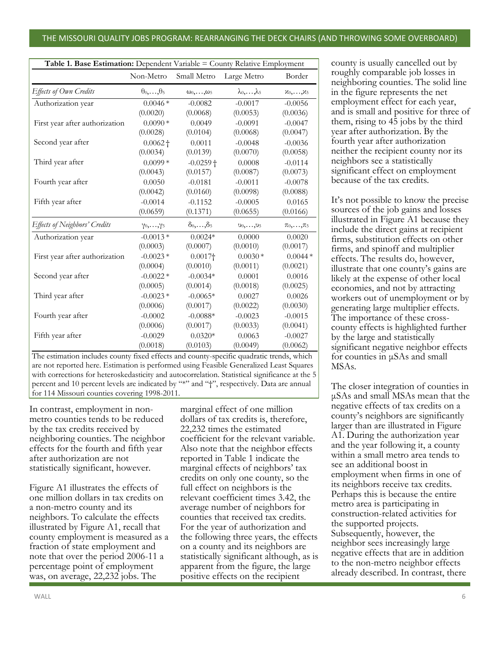#### THE MISSOURI QUALITY JOBS PROGRAM: REARRANGING THE DECK CHAIRS (AND THROWING SOME OVERBOARD)

| Table 1. Base Estimation: Dependent Variable = County Relative Employment |                              |                              |                                |                                      |
|---------------------------------------------------------------------------|------------------------------|------------------------------|--------------------------------|--------------------------------------|
|                                                                           | Non-Metro                    | Small Metro                  | Large Metro                    | Border                               |
| Effects of Own Credits                                                    | $\theta_0, \ldots, \theta_5$ | $\omega_0, \ldots, \omega_5$ | $\lambda_0, \ldots, \lambda_5$ | $\mathcal{X}_0,\ldots,\mathcal{X}_5$ |
| Authorization year                                                        | $0.0046*$                    | $-0.0082$                    | $-0.0017$                      | $-0.0056$                            |
|                                                                           | (0.0020)                     | (0.0068)                     | (0.0053)                       | (0.0036)                             |
| First year after authorization                                            | $0.0090*$                    | 0.0049                       | $-0.0091$                      | $-0.0047$                            |
|                                                                           | (0.0028)                     | (0.0104)                     | (0.0068)                       | (0.0047)                             |
| Second year after                                                         | $0.0062 +$                   | 0.0011                       | $-0.0048$                      | $-0.0036$                            |
|                                                                           | (0.0034)                     | (0.0139)                     | (0.0070)                       | (0.0058)                             |
| Third year after                                                          | $0.0099*$                    | $-0.0259 +$                  | 0.0008                         | $-0.0114$                            |
|                                                                           | (0.0043)                     | (0.0157)                     | (0.0087)                       | (0.0073)                             |
| Fourth year after                                                         | 0.0050                       | $-0.0181$                    | $-0.0011$                      | $-0.0078$                            |
|                                                                           | (0.0042)                     | (0.0160)                     | (0.0098)                       | (0.0088)                             |
| Fifth year after                                                          | $-0.0014$                    | $-0.1152$                    | $-0.0005$                      | 0.0165                               |
|                                                                           | (0.0659)                     | (0.1371)                     | (0.0655)                       | (0.0166)                             |
| Effects of Neighbors' Credits                                             | $\gamma_0, \ldots, \gamma_5$ | $\delta_0,\ldots,\delta_5$   | $0_0, \ldots, 0_5$             | $\pi_0, \ldots, \pi_5$               |
| Authorization year                                                        | $-0.0013*$                   | $0.0024*$                    | 0.0000                         | 0.0020                               |
|                                                                           | (0.0003)                     | (0.0007)                     | (0.0010)                       | (0.0017)                             |
| First year after authorization                                            | $-0.0023*$                   | $0.0017\dagger$              | $0.0030*$                      | $0.0044*$                            |
|                                                                           | (0.0004)                     | (0.0010)                     | (0.0011)                       | (0.0021)                             |
| Second year after                                                         | $-0.0022*$                   | $-0.0034*$                   | 0.0001                         | 0.0016                               |
|                                                                           | (0.0005)                     | (0.0014)                     | (0.0018)                       | (0.0025)                             |
| Third year after                                                          | $-0.0023*$                   | $-0.0065*$                   | 0.0027                         | 0.0026                               |
|                                                                           | (0.0006)                     | (0.0017)                     | (0.0022)                       | (0.0030)                             |
| Fourth year after                                                         | $-0.0002$                    | $-0.0088*$                   | $-0.0023$                      | $-0.0015$                            |
|                                                                           | (0.0006)                     | (0.0017)                     | (0.0033)                       | (0.0041)                             |
| Fifth year after                                                          | $-0.0029$                    | $0.0320*$                    | 0.0063                         | $-0.0027$                            |
|                                                                           | (0.0018)                     | (0.0103)                     | (0.0049)                       | (0.0062)                             |

The estimation includes county fixed effects and county-specific quadratic trends, which are not reported here. Estimation is performed using Feasible Generalized Least Squares with corrections for heteroskedasticity and autocorrelation. Statistical significance at the 5 percent and 10 percent levels are indicated by "\*" and "†", respectively. Data are annual for 114 Missouri counties covering 1998-2011.

In contrast, employment in nonmetro counties tends to be reduced by the tax credits received by neighboring counties. The neighbor effects for the fourth and fifth year after authorization are not statistically significant, however.

Figure A1 illustrates the effects of one million dollars in tax credits on a non-metro county and its neighbors. To calculate the effects illustrated by Figure A1, recall that county employment is measured as a fraction of state employment and note that over the period 2006-11 a percentage point of employment was, on average, 22,232 jobs. The

marginal effect of one million dollars of tax credits is, therefore, 22,232 times the estimated coefficient for the relevant variable. Also note that the neighbor effects reported in Table 1 indicate the marginal effects of neighbors' tax credits on only one county, so the full effect on neighbors is the relevant coefficient times 3.42, the average number of neighbors for counties that received tax credits. For the year of authorization and the following three years, the effects on a county and its neighbors are statistically significant although, as is apparent from the figure, the large positive effects on the recipient

county is usually cancelled out by roughly comparable job losses in neighboring counties. The solid line in the figure represents the net employment effect for each year, and is small and positive for three of them, rising to 45 jobs by the third year after authorization. By the fourth year after authorization neither the recipient county nor its neighbors see a statistically significant effect on employment because of the tax credits.

It's not possible to know the precise sources of the job gains and losses illustrated in Figure A1 because they include the direct gains at recipient firms, substitution effects on other firms, and spinoff and multiplier effects. The results do, however, illustrate that one county's gains are likely at the expense of other local economies, and not by attracting workers out of unemployment or by generating large multiplier effects. The importance of these crosscounty effects is highlighted further by the large and statistically significant negative neighbor effects for counties in μSAs and small MSAs.

The closer integration of counties in μSAs and small MSAs mean that the negative effects of tax credits on a county's neighbors are significantly larger than are illustrated in Figure A1. During the authorization year and the year following it, a county within a small metro area tends to see an additional boost in employment when firms in one of its neighbors receive tax credits. Perhaps this is because the entire metro area is participating in construction-related activities for the supported projects. Subsequently, however, the neighbor sees increasingly large negative effects that are in addition to the non-metro neighbor effects already described. In contrast, there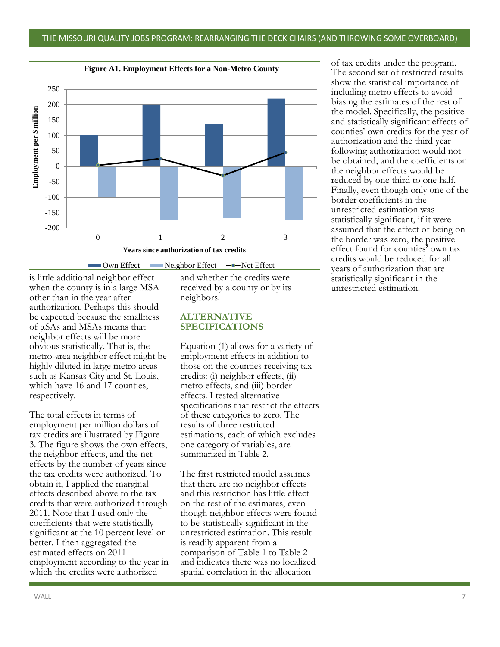

#### is little additional neighbor effect when the county is in a large MSA other than in the year after authorization. Perhaps this should be expected because the smallness of μSAs and MSAs means that neighbor effects will be more obvious statistically. That is, the metro-area neighbor effect might be highly diluted in large metro areas such as Kansas City and St. Louis, which have 16 and 17 counties, respectively.

The total effects in terms of employment per million dollars of tax credits are illustrated by Figure 3. The figure shows the own effects, the neighbor effects, and the net effects by the number of years since the tax credits were authorized. To obtain it, I applied the marginal effects described above to the tax credits that were authorized through 2011. Note that I used only the coefficients that were statistically significant at the 10 percent level or better. I then aggregated the estimated effects on 2011 employment according to the year in which the credits were authorized

and whether the credits were received by a county or by its neighbors.

## **ALTERNATIVE SPECIFICATIONS**

Equation (1) allows for a variety of employment effects in addition to those on the counties receiving tax credits: (i) neighbor effects, (ii) metro effects, and (iii) border effects. I tested alternative specifications that restrict the effects of these categories to zero. The results of three restricted estimations, each of which excludes one category of variables, are summarized in Table 2.

The first restricted model assumes that there are no neighbor effects and this restriction has little effect on the rest of the estimates, even though neighbor effects were found to be statistically significant in the unrestricted estimation. This result is readily apparent from a comparison of Table 1 to Table 2 and indicates there was no localized spatial correlation in the allocation

of tax credits under the program. The second set of restricted results show the statistical importance of including metro effects to avoid biasing the estimates of the rest of the model. Specifically, the positive and statistically significant effects of counties' own credits for the year of authorization and the third year following authorization would not be obtained, and the coefficients on the neighbor effects would be reduced by one third to one half. Finally, even though only one of the border coefficients in the unrestricted estimation was statistically significant, if it were assumed that the effect of being on the border was zero, the positive effect found for counties' own tax credits would be reduced for all years of authorization that are statistically significant in the unrestricted estimation.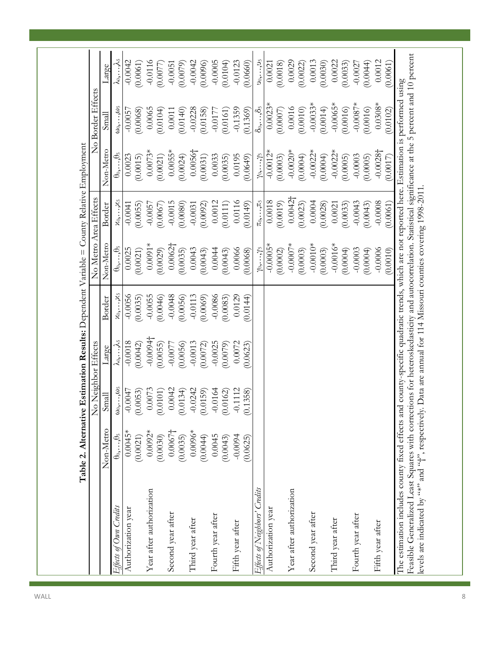|                                                                                                                                                          |                              | No Neighbor Effects          |                      |                    | No Metro                     | Area Effects           |                              | No Border Effects            |                                |
|----------------------------------------------------------------------------------------------------------------------------------------------------------|------------------------------|------------------------------|----------------------|--------------------|------------------------------|------------------------|------------------------------|------------------------------|--------------------------------|
|                                                                                                                                                          | Non-Metro                    | Small                        | Large                | Border             | Non-Metro                    | Border                 | Non-Metro                    | Small                        | Large                          |
| Effects of Own Credits                                                                                                                                   | $\theta_0, \ldots, \theta_5$ | $\omega_0, \ldots, \omega_5$ | k <sub>0</sub> ,…,^5 | $x_0, \ldots, x_5$ | $\theta_0, \ldots, \theta_5$ | $x_0, \ldots, x_5$     | $\theta_0, \ldots, \theta_5$ | $\omega_0, \ldots, \omega_5$ | $\lambda_0, \ldots, \lambda_5$ |
| Authorization year                                                                                                                                       | $0.0045*$                    | $-0.0047$                    | $-0.0018$            | $-0.0056$          | 0.0025                       | $-0.0041$              | 0.0023                       | $-0.0057$                    | $-0.0042$                      |
|                                                                                                                                                          | (0.0021)                     | (0.0053)                     | (0.0042)             | (0.0035)           | (0.0021)                     | (0.0055)               | (0.0015)                     | (0.0068)                     | (0.0061)                       |
| Year after authorization                                                                                                                                 | $0.0092*$                    | 0.0073                       | $-0.0094$            | $-0.0055$          | $0.0091*$                    | $-0.0057$              | $0.0073*$                    | 0.0065                       | $-0.0116$                      |
|                                                                                                                                                          | (0.0030)                     | (0.0101)                     | (0.0055)             | (0.0046)           | (0.0029)                     | (0.0067                | (0.0021)                     | (0.0104)                     | (0.0077)                       |
| Second year after                                                                                                                                        | $0.0067\dagger$              | 0.0042                       | $-0.0077$            | $-0.0048$          | $0.0062\dagger$              | $-0.0015$              | $0.0055*$                    | $0.0011\,$                   | $-0.0051$                      |
|                                                                                                                                                          | (0.0035)                     | (0.0134)                     | (0.0056)             | (0.0056)           | (0.0035)                     | (0.0080)               | (0.0024)                     | (0.0140)                     | (0.0079)                       |
| Third year after                                                                                                                                         | $0.0096*$                    | $-0.0242$                    | $-0.0013$            | $-0.0113$          | 0.0043                       | $-0.0031$              | 0.0056                       | $-0.0228$                    | $-0.0042$                      |
|                                                                                                                                                          | (0.0044)                     | (0.0159)                     | (0.0072)             | (0.0069)           | (0.0043)                     | (0.0092)               | (0.0031)                     | (0.0158)                     | (0.0096)                       |
| Fourth year after                                                                                                                                        | 0.0045                       | $-0.0164$                    | $-0.0025$            | $-0.0086$          | 0.0044                       | 0.0012                 | 0.0033                       | $-0.0177$                    | $-0.0005$                      |
|                                                                                                                                                          | (0.0043)                     | (0.0162)                     | (0.0079)             | (0.0083)           | (0.0043)                     | (0.0111)               | (0.0035)                     | (0.0161)                     | (0.0104)                       |
| Fifth year after                                                                                                                                         | $-0.0094$                    | $-0.1112$                    | 0.0072               | 0.0129             | 0.0066                       | 0.0116                 | 0.0195                       | $-0.1359$                    | $-0.0123$                      |
|                                                                                                                                                          | (0.0625)                     | (0.1358)                     | (0.0623)             | (0.0144)           | 0.0068                       | (0.0149)               | (649)                        | (0.1369)                     | (0.0660)                       |
| Effects of Neighbors' Credits                                                                                                                            |                              |                              |                      |                    | $\gamma_0, \ldots, \gamma_5$ | $\pi_0, \ldots, \pi_5$ | $\gamma_0, \ldots, \gamma_5$ | $\delta_0, \ldots, \delta_5$ | $0_0, \ldots, 0_5$             |
| Authorization year                                                                                                                                       |                              |                              |                      |                    | $-0.0005*$                   | 0.0018                 | $-0.0012*$                   | $0.0023*$                    | 0.0021                         |
|                                                                                                                                                          |                              |                              |                      |                    | (0.0002)                     | (0.0019)               | (0.0003)                     | (0.0007)                     | (0.0018)                       |
| Year after authorization                                                                                                                                 |                              |                              |                      |                    | $-0.0007*$                   | 0.0042                 | $-0.0020*$                   | 0.0016                       | 0.0029                         |
|                                                                                                                                                          |                              |                              |                      |                    | (0.0003)                     | (0.0023)               | (0.0004)                     | (0.0010)                     | (0.0022)                       |
| Second year after                                                                                                                                        |                              |                              |                      |                    | $-0.0010*$                   | 0.0004                 | $-0.0022*$                   | $-0.0033*$                   | 0.0013                         |
|                                                                                                                                                          |                              |                              |                      |                    | (0.0003)                     | (0.0028)               | (0.0004)                     | (0.0014)                     | (0.0030)                       |
| Third year after                                                                                                                                         |                              |                              |                      |                    | $-0.0016*$                   | 0.0021                 | $-0.0022*$                   | $-0.0005*$                   | 0.0022                         |
|                                                                                                                                                          |                              |                              |                      |                    | (0.0004)                     | (0.0033)               | (0.0005)                     | (0.0016)                     | (0.0033)                       |
| Fourth year after                                                                                                                                        |                              |                              |                      |                    | $-0.0003$                    | $-0.0043$              | $-0.0003$                    | $-0.0087*$                   | $-0.0027$                      |
|                                                                                                                                                          |                              |                              |                      |                    | (0.0004)                     | (0.0043)               | (0.0005)                     | (0.0016)                     | (0.0044)                       |
| Fifth year after                                                                                                                                         |                              |                              |                      |                    | $-0.0006$                    | $-0.0008$              | $-0.0028$ <sup>+</sup>       | $0.0308*$                    | 0.0012                         |
|                                                                                                                                                          |                              |                              |                      |                    | (0.0010)                     | (0.0061)               | (0.0017)                     | (0.0102)                     | (0.0061)                       |
| The estimation includes county fixed effects and county-specific quadratic trends, which are not reported here. Estimation is performed using            |                              |                              |                      |                    |                              |                        |                              |                              |                                |
| Feasible Generalized Least Squares with corrections for heteroskedasticity and autocorrelation. Statistical significance at the 5 percent and 10 percent |                              |                              |                      |                    |                              |                        |                              |                              |                                |
| levels are indicated by "**" and "+", respectively. Data are annual for 114 Missouri counties covering 1998-2011                                         |                              |                              |                      |                    |                              |                        |                              |                              |                                |

П